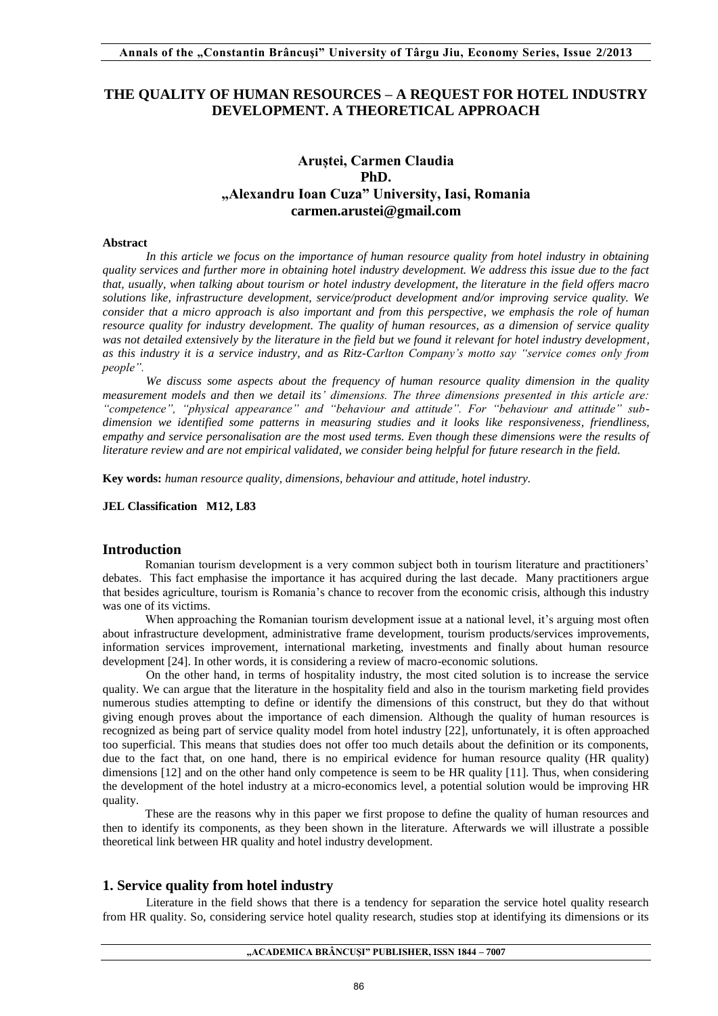# **THE QUALITY OF HUMAN RESOURCES – A REQUEST FOR HOTEL INDUSTRY DEVELOPMENT. A THEORETICAL APPROACH**

# **Aruștei, Carmen Claudia PhD. "Alexandru Ioan Cuza" University, Iasi, Romania carmen.arustei@gmail.com**

## **Abstract**

*In this article we focus on the importance of human resource quality from hotel industry in obtaining quality services and further more in obtaining hotel industry development. We address this issue due to the fact that, usually, when talking about tourism or hotel industry development, the literature in the field offers macro solutions like, infrastructure development, service/product development and/or improving service quality. We consider that a micro approach is also important and from this perspective, we emphasis the role of human resource quality for industry development. The quality of human resources, as a dimension of service quality*  was not detailed extensively by the literature in the field but we found it relevant for hotel industry development, *as this industry it is a service industry, and as Ritz-Carlton Company's motto say "service comes only from people".* 

*We discuss some aspects about the frequency of human resource quality dimension in the quality measurement models and then we detail its' dimensions. The three dimensions presented in this article are: "competence", "physical appearance" and "behaviour and attitude". For "behaviour and attitude" subdimension we identified some patterns in measuring studies and it looks like responsiveness, friendliness,*  empathy and service personalisation are the most used terms. Even though these dimensions were the results of *literature review and are not empirical validated, we consider being helpful for future research in the field.* 

**Key words:** *human resource quality, dimensions, behaviour and attitude, hotel industry.*

**JEL Classification M12, L83** 

# **Introduction**

Romanian tourism development is a very common subject both in tourism literature and practitioners' debates. This fact emphasise the importance it has acquired during the last decade. Many practitioners argue that besides agriculture, tourism is Romania's chance to recover from the economic crisis, although this industry was one of its victims.

When approaching the Romanian tourism development issue at a national level, it's arguing most often about infrastructure development, administrative frame development, tourism products/services improvements, information services improvement, international marketing, investments and finally about human resource development [24]. In other words, it is considering a review of macro-economic solutions.

 On the other hand, in terms of hospitality industry, the most cited solution is to increase the service quality. We can argue that the literature in the hospitality field and also in the tourism marketing field provides numerous studies attempting to define or identify the dimensions of this construct, but they do that without giving enough proves about the importance of each dimension. Although the quality of human resources is recognized as being part of service quality model from hotel industry [22], unfortunately, it is often approached too superficial. This means that studies does not offer too much details about the definition or its components, due to the fact that, on one hand, there is no empirical evidence for human resource quality (HR quality) dimensions [12] and on the other hand only competence is seem to be HR quality [11]. Thus, when considering the development of the hotel industry at a micro-economics level, a potential solution would be improving HR quality.

These are the reasons why in this paper we first propose to define the quality of human resources and then to identify its components, as they been shown in the literature. Afterwards we will illustrate a possible theoretical link between HR quality and hotel industry development.

# **1. Service quality from hotel industry**

Literature in the field shows that there is a tendency for separation the service hotel quality research from HR quality. So, considering service hotel quality research, studies stop at identifying its dimensions or its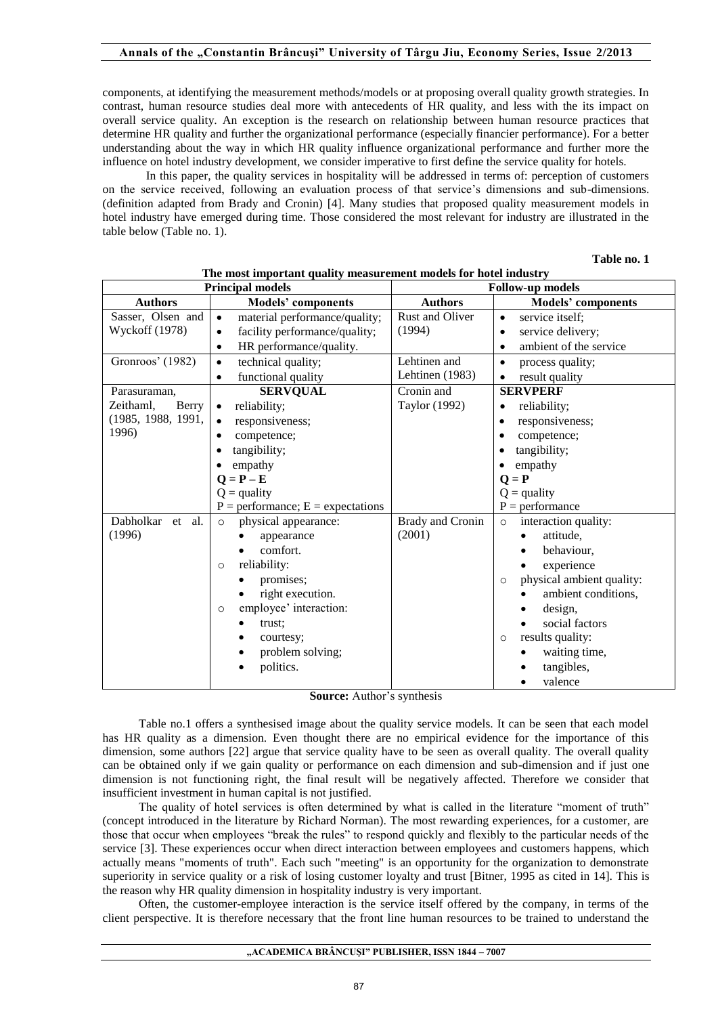components, at identifying the measurement methods/models or at proposing overall quality growth strategies. In contrast, human resource studies deal more with antecedents of HR quality, and less with the its impact on overall service quality. An exception is the research on relationship between human resource practices that determine HR quality and further the organizational performance (especially financier performance). For a better understanding about the way in which HR quality influence organizational performance and further more the influence on hotel industry development, we consider imperative to first define the service quality for hotels.

In this paper, the quality services in hospitality will be addressed in terms of: perception of customers on the service received, following an evaluation process of that service's dimensions and sub-dimensions. (definition adapted from Brady and Cronin) [4]. Many studies that proposed quality measurement models in hotel industry have emerged during time. Those considered the most relevant for industry are illustrated in the table below (Table no. 1).

**Table no. 1** 

|                     | <b>Principal models</b>                    | <b>Follow-up models</b> |                                                                                                                                                                           |  |  |  |
|---------------------|--------------------------------------------|-------------------------|---------------------------------------------------------------------------------------------------------------------------------------------------------------------------|--|--|--|
| <b>Authors</b>      | <b>Models' components</b>                  | <b>Authors</b>          | <b>Models' components</b>                                                                                                                                                 |  |  |  |
| Sasser, Olsen and   | material performance/quality;<br>$\bullet$ | Rust and Oliver         | service itself:<br>$\bullet$                                                                                                                                              |  |  |  |
| Wyckoff (1978)      | facility performance/quality;<br>$\bullet$ | (1994)                  | service delivery;<br>٠<br>ambient of the service<br>$\bullet$                                                                                                             |  |  |  |
|                     | HR performance/quality.<br>$\bullet$       |                         |                                                                                                                                                                           |  |  |  |
| Gronroos' (1982)    | technical quality;<br>$\bullet$            | Lehtinen and            | process quality;<br>$\bullet$<br>result quality<br>$\bullet$                                                                                                              |  |  |  |
|                     | functional quality<br>$\bullet$            | Lehtinen (1983)         |                                                                                                                                                                           |  |  |  |
| Parasuraman,        | <b>SERVQUAL</b>                            | Cronin and              | <b>SERVPERF</b><br>reliability;<br>٠<br>responsiveness;<br>٠<br>competence;<br>٠<br>tangibility;<br>empathy<br>$\bullet$<br>$Q = P$<br>$Q =$ quality<br>$P =$ performance |  |  |  |
| Zeithaml,<br>Berry  | reliability;<br>$\bullet$                  | Taylor (1992)           |                                                                                                                                                                           |  |  |  |
| (1985, 1988, 1991,  | responsiveness;<br>$\bullet$               |                         |                                                                                                                                                                           |  |  |  |
| 1996)               | competence;<br>٠                           |                         |                                                                                                                                                                           |  |  |  |
|                     | tangibility;<br>٠                          |                         |                                                                                                                                                                           |  |  |  |
|                     | empathy<br>$\bullet$                       |                         |                                                                                                                                                                           |  |  |  |
|                     | $Q = P - E$                                |                         |                                                                                                                                                                           |  |  |  |
|                     | $Q =$ quality                              |                         |                                                                                                                                                                           |  |  |  |
|                     | $P =$ performance; $E =$ expectations      |                         |                                                                                                                                                                           |  |  |  |
| Dabholkar<br>et al. | physical appearance:<br>$\circ$            | Brady and Cronin        | interaction quality:<br>$\circ$                                                                                                                                           |  |  |  |
| (1996)              | appearance                                 | (2001)                  | attitude,                                                                                                                                                                 |  |  |  |
|                     | comfort.                                   |                         | behaviour,                                                                                                                                                                |  |  |  |
|                     | reliability:<br>$\circ$                    |                         | experience                                                                                                                                                                |  |  |  |
|                     | promises;                                  |                         | physical ambient quality:<br>$\circ$                                                                                                                                      |  |  |  |
|                     | right execution.                           |                         | ambient conditions,                                                                                                                                                       |  |  |  |
|                     | employee' interaction:<br>$\circ$          |                         | design,                                                                                                                                                                   |  |  |  |
|                     | trust;                                     |                         | social factors                                                                                                                                                            |  |  |  |
|                     | courtesy;                                  |                         | results quality:<br>$\circ$                                                                                                                                               |  |  |  |
|                     | problem solving;                           |                         | waiting time,                                                                                                                                                             |  |  |  |
|                     | politics.<br>٠                             |                         | tangibles,                                                                                                                                                                |  |  |  |
|                     |                                            |                         | valence                                                                                                                                                                   |  |  |  |

**The most important quality measurement models for hotel industry Principal models Follow-up models** 

**Source:** Author's synthesis

Table no.1 offers a synthesised image about the quality service models. It can be seen that each model has HR quality as a dimension. Even thought there are no empirical evidence for the importance of this dimension, some authors [22] argue that service quality have to be seen as overall quality. The overall quality can be obtained only if we gain quality or performance on each dimension and sub-dimension and if just one dimension is not functioning right, the final result will be negatively affected. Therefore we consider that insufficient investment in human capital is not justified.

The quality of hotel services is often determined by what is called in the literature "moment of truth" (concept introduced in the literature by Richard Norman). The most rewarding experiences, for a customer, are those that occur when employees "break the rules" to respond quickly and flexibly to the particular needs of the service [3]. These experiences occur when direct interaction between employees and customers happens, which actually means "moments of truth". Each such "meeting" is an opportunity for the organization to demonstrate superiority in service quality or a risk of losing customer loyalty and trust [Bitner, 1995 as cited in 14]. This is the reason why HR quality dimension in hospitality industry is very important.

Often, the customer-employee interaction is the service itself offered by the company, in terms of the client perspective. It is therefore necessary that the front line human resources to be trained to understand the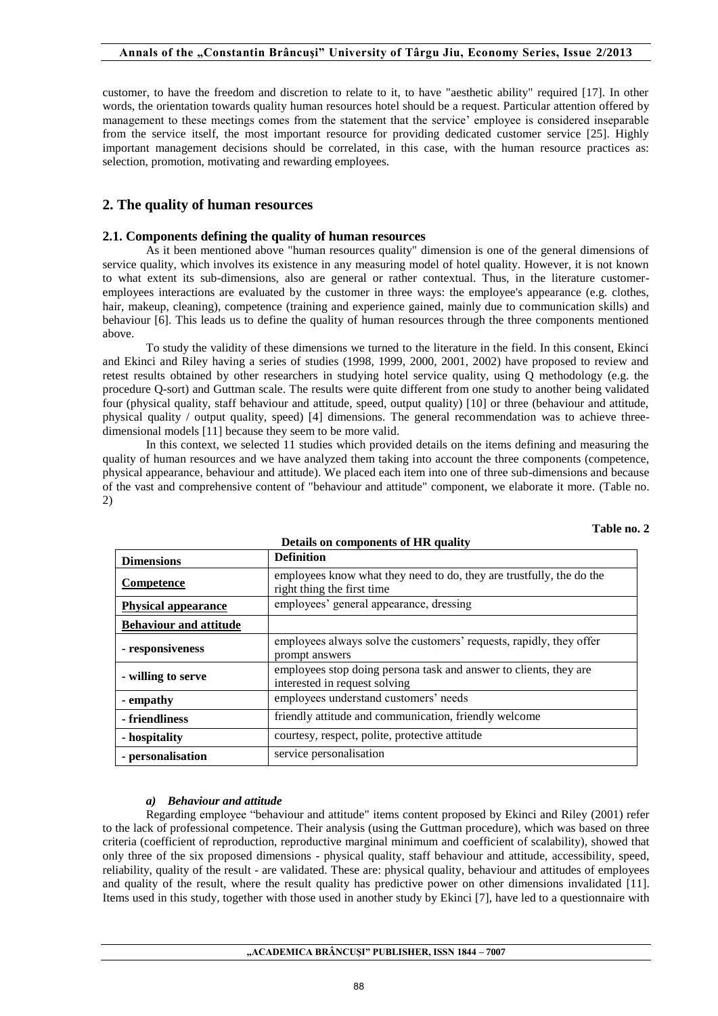customer, to have the freedom and discretion to relate to it, to have "aesthetic ability" required [17]. In other words, the orientation towards quality human resources hotel should be a request. Particular attention offered by management to these meetings comes from the statement that the service' employee is considered inseparable from the service itself, the most important resource for providing dedicated customer service [25]. Highly important management decisions should be correlated, in this case, with the human resource practices as: selection, promotion, motivating and rewarding employees.

# **2. The quality of human resources**

#### **2.1. Components defining the quality of human resources**

As it been mentioned above "human resources quality" dimension is one of the general dimensions of service quality, which involves its existence in any measuring model of hotel quality. However, it is not known to what extent its sub-dimensions, also are general or rather contextual. Thus, in the literature customeremployees interactions are evaluated by the customer in three ways: the employee's appearance (e.g. clothes, hair, makeup, cleaning), competence (training and experience gained, mainly due to communication skills) and behaviour [6]. This leads us to define the quality of human resources through the three components mentioned above.

To study the validity of these dimensions we turned to the literature in the field. In this consent, Ekinci and Ekinci and Riley having a series of studies (1998, 1999, 2000, 2001, 2002) have proposed to review and retest results obtained by other researchers in studying hotel service quality, using Q methodology (e.g. the procedure Q-sort) and Guttman scale. The results were quite different from one study to another being validated four (physical quality, staff behaviour and attitude, speed, output quality) [10] or three (behaviour and attitude, physical quality / output quality, speed) [4] dimensions. The general recommendation was to achieve threedimensional models [11] because they seem to be more valid.

In this context, we selected 11 studies which provided details on the items defining and measuring the quality of human resources and we have analyzed them taking into account the three components (competence, physical appearance, behaviour and attitude). We placed each item into one of three sub-dimensions and because of the vast and comprehensive content of "behaviour and attitude" component, we elaborate it more. (Table no. 2)

| <b>Dimensions</b>             | <b>Definition</b>                                                                                  |
|-------------------------------|----------------------------------------------------------------------------------------------------|
| Competence                    | employees know what they need to do, they are trustfully, the do the<br>right thing the first time |
| <b>Physical appearance</b>    | employees' general appearance, dressing                                                            |
| <b>Behaviour and attitude</b> |                                                                                                    |
| - responsiveness              | employees always solve the customers' requests, rapidly, they offer<br>prompt answers              |
| - willing to serve            | employees stop doing persona task and answer to clients, they are<br>interested in request solving |
| - empathy                     | employees understand customers' needs                                                              |
| - friendliness                | friendly attitude and communication, friendly welcome                                              |
| - hospitality                 | courtesy, respect, polite, protective attitude                                                     |
| - personalisation             | service personalisation                                                                            |

**Details on components of HR quality** 

**Table no. 2** 

## *a) Behaviour and attitude*

Regarding employee "behaviour and attitude" items content proposed by Ekinci and Riley (2001) refer to the lack of professional competence. Their analysis (using the Guttman procedure), which was based on three criteria (coefficient of reproduction, reproductive marginal minimum and coefficient of scalability), showed that only three of the six proposed dimensions - physical quality, staff behaviour and attitude, accessibility, speed, reliability, quality of the result - are validated. These are: physical quality, behaviour and attitudes of employees and quality of the result, where the result quality has predictive power on other dimensions invalidated [11]. Items used in this study, together with those used in another study by Ekinci [7], have led to a questionnaire with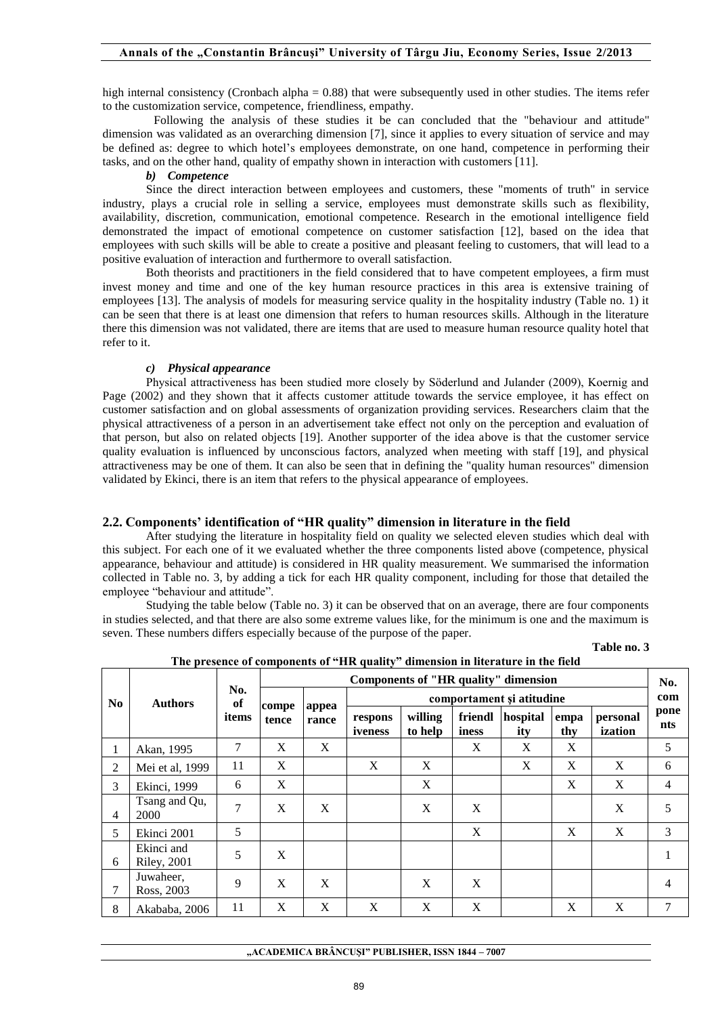high internal consistency (Cronbach alpha = 0.88) that were subsequently used in other studies. The items refer to the customization service, competence, friendliness, empathy.

Following the analysis of these studies it be can concluded that the "behaviour and attitude" dimension was validated as an overarching dimension [7], since it applies to every situation of service and may be defined as: degree to which hotel's employees demonstrate, on one hand, competence in performing their tasks, and on the other hand, quality of empathy shown in interaction with customers [11].

## *b) Competence*

Since the direct interaction between employees and customers, these "moments of truth" in service industry, plays a crucial role in selling a service, employees must demonstrate skills such as flexibility, availability, discretion, communication, emotional competence. Research in the emotional intelligence field demonstrated the impact of emotional competence on customer satisfaction [12], based on the idea that employees with such skills will be able to create a positive and pleasant feeling to customers, that will lead to a positive evaluation of interaction and furthermore to overall satisfaction.

Both theorists and practitioners in the field considered that to have competent employees, a firm must invest money and time and one of the key human resource practices in this area is extensive training of employees [13]. The analysis of models for measuring service quality in the hospitality industry (Table no. 1) it can be seen that there is at least one dimension that refers to human resources skills. Although in the literature there this dimension was not validated, there are items that are used to measure human resource quality hotel that refer to it.

## *c) Physical appearance*

Physical attractiveness has been studied more closely by Söderlund and Julander (2009), Koernig and Page (2002) and they shown that it affects customer attitude towards the service employee, it has effect on customer satisfaction and on global assessments of organization providing services. Researchers claim that the physical attractiveness of a person in an advertisement take effect not only on the perception and evaluation of that person, but also on related objects [19]. Another supporter of the idea above is that the customer service quality evaluation is influenced by unconscious factors, analyzed when meeting with staff [19], and physical attractiveness may be one of them. It can also be seen that in defining the "quality human resources" dimension validated by Ekinci, there is an item that refers to the physical appearance of employees.

# **2.2. Components' identification of "HR quality" dimension in literature in the field**

 After studying the literature in hospitality field on quality we selected eleven studies which deal with this subject. For each one of it we evaluated whether the three components listed above (competence, physical appearance, behaviour and attitude) is considered in HR quality measurement. We summarised the information collected in Table no. 3, by adding a tick for each HR quality component, including for those that detailed the employee "behaviour and attitude".

 Studying the table below (Table no. 3) it can be observed that on an average, there are four components in studies selected, and that there are also some extreme values like, for the minimum is one and the maximum is seven. These numbers differs especially because of the purpose of the paper.

**Table no. 3** 

| N <sub>0</sub> | <b>Authors</b>                    | No.<br>of<br>items | <b>Components of "HR quality" dimension</b> |                |                           |                    |                  |                 |             |                     | No.            |
|----------------|-----------------------------------|--------------------|---------------------------------------------|----------------|---------------------------|--------------------|------------------|-----------------|-------------|---------------------|----------------|
|                |                                   |                    | compe<br>tence                              | appea<br>rance | comportament și atitudine |                    |                  |                 |             |                     | com            |
|                |                                   |                    |                                             |                | respons<br>iveness        | willing<br>to help | friendl<br>iness | hospital<br>ity | empa<br>thy | personal<br>ization | pone<br>nts    |
| 1              | Akan, 1995                        | 7                  | X                                           | X              |                           |                    | X                | X               | X           |                     | 5              |
| 2              | Mei et al, 1999                   | 11                 | X                                           |                | X                         | X                  |                  | X               | X           | X                   | 6              |
| 3              | Ekinci, 1999                      | 6                  | X                                           |                |                           | X                  |                  |                 | X           | X                   | $\overline{4}$ |
| $\overline{4}$ | Tsang and Qu,<br>2000             | 7                  | X                                           | X              |                           | X                  | X                |                 |             | X                   | 5              |
| 5              | Ekinci 2001                       | 5                  |                                             |                |                           |                    | X                |                 | X           | X                   | 3              |
| 6              | Ekinci and<br><b>Riley</b> , 2001 | 5                  | X                                           |                |                           |                    |                  |                 |             |                     |                |
| 7              | Juwaheer,<br>Ross, 2003           | 9                  | X                                           | X              |                           | X                  | X                |                 |             |                     | 4              |
| 8              | Akababa, 2006                     | 11                 | X                                           | X              | X                         | X                  | X                |                 | X           | X                   | 7              |

**The presence of components of "HR quality" dimension in literature in the field**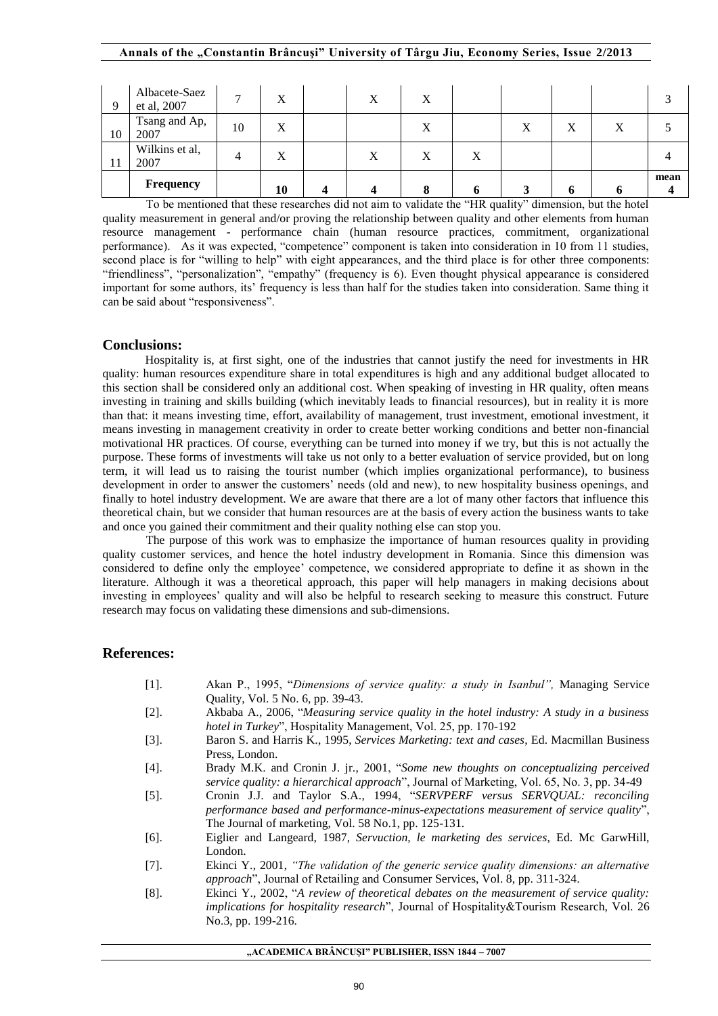|    | Albacete-Saez<br>et al, 2007 | $\overline{ }$ | $\mathbf{v}$<br>$\Lambda$ | X | X      |   |   |   |   |                                  |
|----|------------------------------|----------------|---------------------------|---|--------|---|---|---|---|----------------------------------|
| 10 | Tsang and Ap,<br>2007        | 10             | $\mathbf v$<br>A          |   | X      |   | Х | X | Х |                                  |
| 11 | Wilkins et al,<br>2007       | 4              | $\mathbf{v}$<br>$\Lambda$ | X | X      | X |   |   |   |                                  |
|    | Frequency                    |                | 10                        |   | o<br>О |   | C | n | o | mean<br>$\overline{\mathcal{L}}$ |

To be mentioned that these researches did not aim to validate the "HR quality" dimension, but the hotel quality measurement in general and/or proving the relationship between quality and other elements from human resource management - performance chain (human resource practices, commitment, organizational performance). As it was expected, "competence" component is taken into consideration in 10 from 11 studies, second place is for "willing to help" with eight appearances, and the third place is for other three components: "friendliness", "personalization", "empathy" (frequency is 6). Even thought physical appearance is considered important for some authors, its' frequency is less than half for the studies taken into consideration. Same thing it can be said about "responsiveness".

## **Conclusions:**

Hospitality is, at first sight, one of the industries that cannot justify the need for investments in HR quality: human resources expenditure share in total expenditures is high and any additional budget allocated to this section shall be considered only an additional cost. When speaking of investing in HR quality, often means investing in training and skills building (which inevitably leads to financial resources), but in reality it is more than that: it means investing time, effort, availability of management, trust investment, emotional investment, it means investing in management creativity in order to create better working conditions and better non-financial motivational HR practices. Of course, everything can be turned into money if we try, but this is not actually the purpose. These forms of investments will take us not only to a better evaluation of service provided, but on long term, it will lead us to raising the tourist number (which implies organizational performance), to business development in order to answer the customers' needs (old and new), to new hospitality business openings, and finally to hotel industry development. We are aware that there are a lot of many other factors that influence this theoretical chain, but we consider that human resources are at the basis of every action the business wants to take and once you gained their commitment and their quality nothing else can stop you.

 The purpose of this work was to emphasize the importance of human resources quality in providing quality customer services, and hence the hotel industry development in Romania. Since this dimension was considered to define only the employee' competence, we considered appropriate to define it as shown in the literature. Although it was a theoretical approach, this paper will help managers in making decisions about investing in employees' quality and will also be helpful to research seeking to measure this construct. Future research may focus on validating these dimensions and sub-dimensions.

## **References:**

- [1]. Akan P., 1995, "*Dimensions of service quality: a study in Isanbul",* Managing Service Quality, Vol. 5 No. 6, pp. 39-43.
- [2]. Akbaba A., 2006, "*Measuring service quality in the hotel industry: A study in a business hotel in Turkey*", Hospitality Management, Vol. 25, pp. 170-192
- [3]. Baron S. and Harris K., 1995, *Services Marketing: text and cases*, Ed. Macmillan Business Press, London.
- [4]. Brady M.K. and Cronin J. jr., 2001, "*Some new thoughts on conceptualizing perceived service quality: a hierarchical approach*", Journal of Marketing, Vol. 65, No. 3, pp. 34-49
- [5]. Cronin J.J. and Taylor S.A., 1994, "*SERVPERF versus SERVQUAL: reconciling performance based and performance-minus-expectations measurement of service quality*", The Journal of marketing, Vol. 58 No.1, pp. 125-131.
- [6]. Eiglier and Langeard, 1987, *Servuction, le marketing des services*, Ed. Mc GarwHill, London.
- [7]. Ekinci Y., 2001, *"The validation of the generic service quality dimensions: an alternative approach*", Journal of Retailing and Consumer Services, Vol. 8, pp. 311-324.
- [8]. Ekinci Y., 2002, "*A review of theoretical debates on the measurement of service quality: implications for hospitality research*", Journal of Hospitality&Tourism Research, Vol. 26 No.3, pp. 199-216.

**"ACADEMICA BRÂNCUŞI" PUBLISHER, ISSN 1844 – 7007**